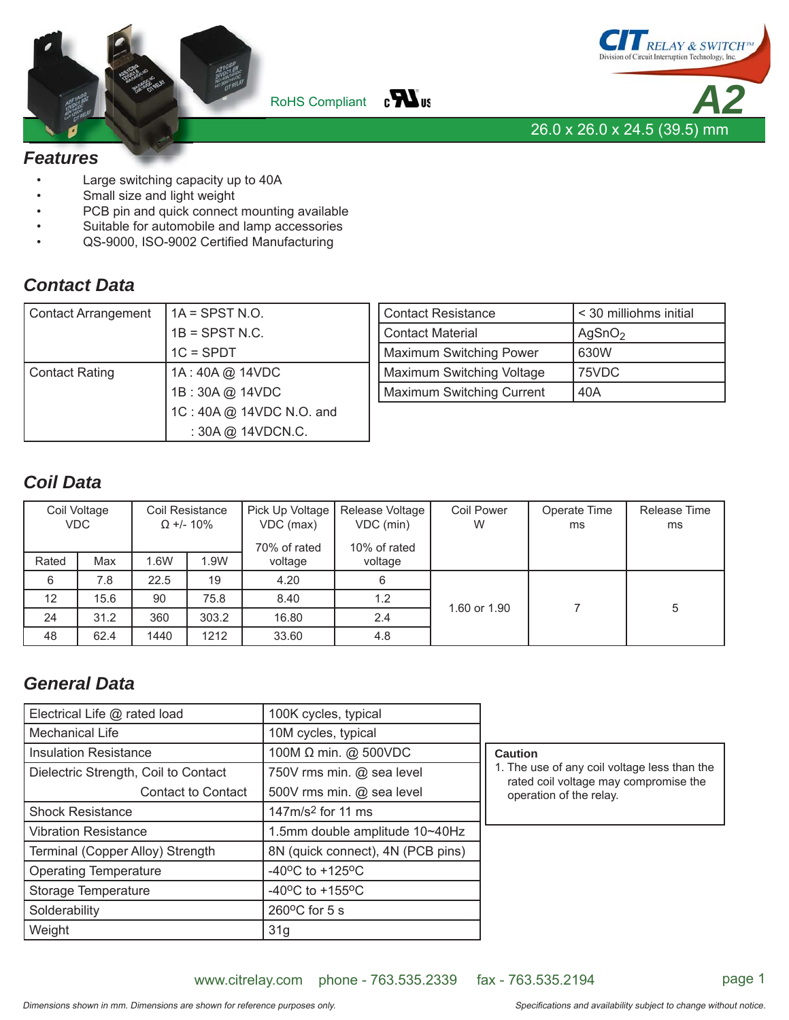



#### *Features*

- Large switching capacity up to 40A
- Small size and light weight
- PCB pin and quick connect mounting available
- Suitable for automobile and lamp accessories
- QS-9000, ISO-9002 Certified Manufacturing

#### *Contact Data*

| Contact Arrangement | $1A = S$ PST N.O.        | <b>Contact Resistance</b> | < 30 milliohms initial |  |
|---------------------|--------------------------|---------------------------|------------------------|--|
|                     | $1B =$ SPST N.C.         | <b>Contact Material</b>   | AgSnO <sub>2</sub>     |  |
|                     | $1C = SPDT$              | Maximum Switching Power   | 630W                   |  |
| Contact Rating      | 1A: 40A @ 14VDC          | Maximum Switching Voltage | 75VDC                  |  |
| 1B: 30A @ 14VDC     |                          | Maximum Switching Current | 40A                    |  |
|                     | 1C: 40A @ 14VDC N.O. and |                           |                        |  |
|                     | : 30A @ 14VDCN.C.        |                           |                        |  |

# *Coil Data*

|       | Coil Voltage<br>Coil Resistance<br><b>VDC</b><br>$\Omega$ +/- 10% |      | Pick Up Voltage<br>Release Voltage<br>VDC (min)<br>VDC (max)<br>70% of rated<br>10% of rated |                    | <b>Coil Power</b><br>W | Operate Time<br>ms | Release Time<br>ms |   |
|-------|-------------------------------------------------------------------|------|----------------------------------------------------------------------------------------------|--------------------|------------------------|--------------------|--------------------|---|
| Rated | Max                                                               | 1.6W | 1.9W                                                                                         | voltage<br>voltage |                        |                    |                    |   |
| 6     | 7.8                                                               | 22.5 | 19                                                                                           | 4.20               | 6                      |                    |                    |   |
| 12    | 15.6                                                              | 90   | 75.8                                                                                         | 8.40               | 1.2                    | 1.60 or 1.90       |                    | 5 |
| 24    | 31.2                                                              | 360  | 303.2                                                                                        | 16.80              | 2.4                    |                    |                    |   |
| 48    | 62.4                                                              | 1440 | 1212                                                                                         | 33.60              | 4.8                    |                    |                    |   |

## *General Data*

| Electrical Life @ rated load         | 100K cycles, typical                  |                                                                                       |
|--------------------------------------|---------------------------------------|---------------------------------------------------------------------------------------|
| Mechanical Life                      | 10M cycles, typical                   |                                                                                       |
| <b>Insulation Resistance</b>         | 100M $\Omega$ min. @ 500VDC           | <b>Caution</b>                                                                        |
| Dielectric Strength, Coil to Contact | 750V rms min. @ sea level             | 1. The use of any coil voltage less than the<br>rated coil voltage may compromise the |
| <b>Contact to Contact</b>            | 500V rms min. @ sea level             | operation of the relay.                                                               |
| <b>Shock Resistance</b>              | 147m/s <sup>2</sup> for 11 ms         |                                                                                       |
| <b>Vibration Resistance</b>          | 1.5mm double amplitude 10~40Hz        |                                                                                       |
| Terminal (Copper Alloy) Strength     | 8N (quick connect), 4N (PCB pins)     |                                                                                       |
| <b>Operating Temperature</b>         | -40 $^{\circ}$ C to +125 $^{\circ}$ C |                                                                                       |
| Storage Temperature                  | $-40^{\circ}$ C to $+155^{\circ}$ C   |                                                                                       |
| Solderability                        | $260^{\circ}$ C for 5 s               |                                                                                       |
| Weight                               | 31g                                   |                                                                                       |

www.citrelay.com phone - 763.535.2339 fax - 763.535.2194 page 1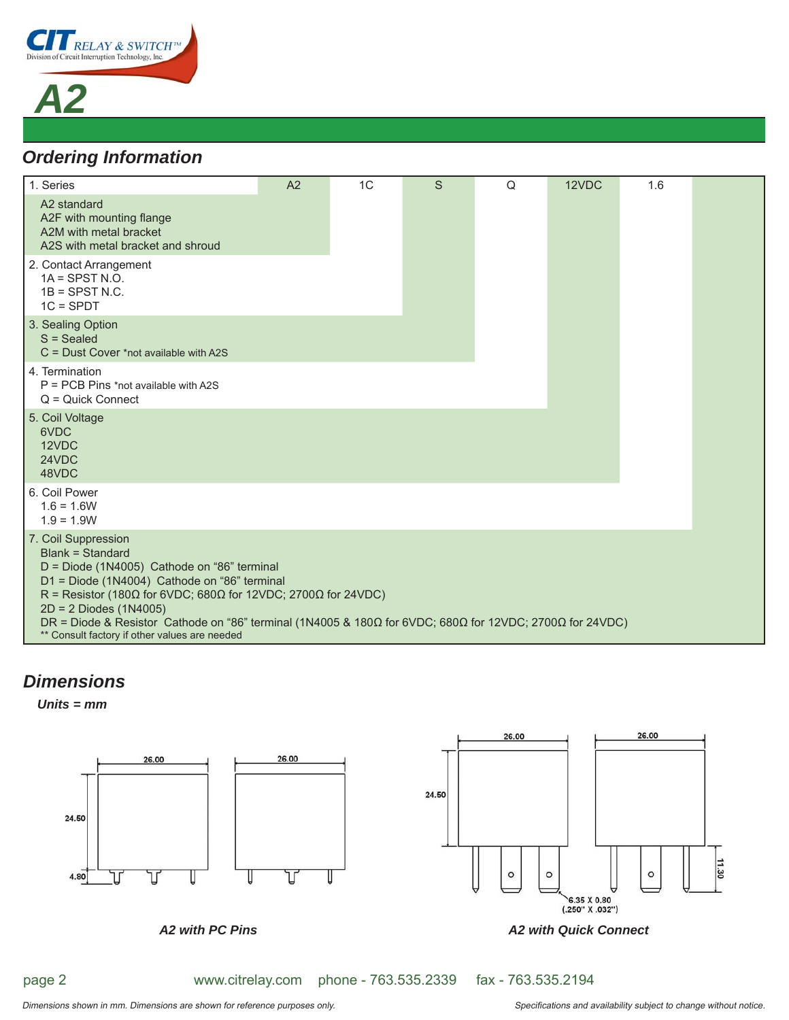

*A2*

# *Ordering Information*

| 1. Series                                                                                                                                                                                                                                                                                                                                                                                                                | A2 | 1C | S | Q | 12VDC | 1.6 |  |
|--------------------------------------------------------------------------------------------------------------------------------------------------------------------------------------------------------------------------------------------------------------------------------------------------------------------------------------------------------------------------------------------------------------------------|----|----|---|---|-------|-----|--|
| A2 standard<br>A2F with mounting flange<br>A2M with metal bracket<br>A2S with metal bracket and shroud                                                                                                                                                                                                                                                                                                                   |    |    |   |   |       |     |  |
| 2. Contact Arrangement<br>$1A =$ SPST N.O.<br>$1B =$ SPST N.C.<br>$1C = SPDT$                                                                                                                                                                                                                                                                                                                                            |    |    |   |   |       |     |  |
| 3. Sealing Option<br>$S = S$ ealed<br>$C =$ Dust Cover *not available with A2S                                                                                                                                                                                                                                                                                                                                           |    |    |   |   |       |     |  |
| 4. Termination<br>P = PCB Pins *not available with A2S<br>$Q =$ Quick Connect                                                                                                                                                                                                                                                                                                                                            |    |    |   |   |       |     |  |
| 5. Coil Voltage<br>6VDC<br>12VDC<br>24VDC<br>48VDC                                                                                                                                                                                                                                                                                                                                                                       |    |    |   |   |       |     |  |
| 6. Coil Power<br>$1.6 = 1.6W$<br>$1.9 = 1.9W$                                                                                                                                                                                                                                                                                                                                                                            |    |    |   |   |       |     |  |
| 7. Coil Suppression<br>Blank = Standard<br>D = Diode (1N4005) Cathode on "86" terminal<br>D1 = Diode (1N4004) Cathode on "86" terminal<br>R = Resistor (180 $\Omega$ for 6VDC; 680 $\Omega$ for 12VDC; 2700 $\Omega$ for 24VDC)<br>$2D = 2$ Diodes (1N4005)<br>DR = Diode & Resistor Cathode on "86" terminal (1N4005 & 180Ω for 6VDC; 680Ω for 12VDC; 2700Ω for 24VDC)<br>** Consult factory if other values are needed |    |    |   |   |       |     |  |

## *Dimensions*

*Units = mm*



page 2

www.citrelay.com phone - 763.535.2339 fax - 763.535.2194

Dimensions shown in mm. Dimensions are shown for reference purposes only. This is a subjectional and availability subject to change without notice.